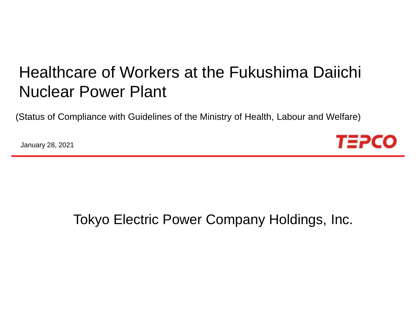# Healthcare of Workers at the Fukushima Daiichi Nuclear Power Plant

(Status of Compliance with Guidelines of the Ministry of Health, Labour and Welfare)

January 28, 2021



## Tokyo Electric Power Company Holdings, Inc.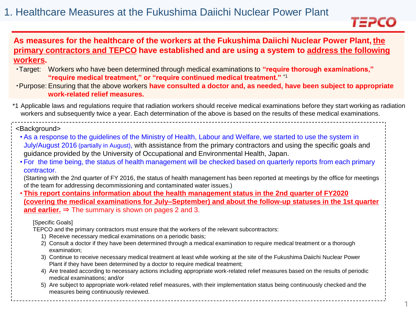

## **As measures for the healthcare of the workers at the Fukushima Daiichi Nuclear Power Plant, the primary contractors and TEPCO have established and are using a system to address the following workers.**

- ・Target: Workers who have been determined through medical examinations to **"require thorough examinations," "require medical treatment," or "require continued medical treatment."** \*1
- ・Purpose: Ensuring that the above workers **have consulted a doctor and, as needed, have been subject to appropriate work-related relief measures.**
- \*1 Applicable laws and regulations require that radiation workers should receive medical examinations before they start working as radiation workers and subsequently twice a year. Each determination of the above is based on the results of these medical examinations.

#### <Background>

- As a response to the guidelines of the Ministry of Health, Labour and Welfare, we started to use the system in July/August 2016 (partially in August), with assistance from the primary contractors and using the specific goals and guidance provided by the University of Occupational and Environmental Health, Japan.
- For the time being, the status of health management will be checked based on quarterly reports from each primary contractor.

(Starting with the 2nd quarter of FY 2016, the status of health management has been reported at meetings by the office for meetings of the team for addressing decommissioning and contaminated water issues.)

• **This report contains information about the health management status in the 2nd quarter of FY2020 (covering the medical examinations for July–September) and about the follow-up statuses in the 1st quarter**  and earlier.  $\Rightarrow$  The summary is shown on pages 2 and 3.

#### [Specific Goals]

TEPCO and the primary contractors must ensure that the workers of the relevant subcontractors:

- 1) Receive necessary medical examinations on a periodic basis;
- 2) Consult a doctor if they have been determined through a medical examination to require medical treatment or a thorough examination;
- 3) Continue to receive necessary medical treatment at least while working at the site of the Fukushima Daiichi Nuclear Power Plant if they have been determined by a doctor to require medical treatment;
- 4) Are treated according to necessary actions including appropriate work-related relief measures based on the results of periodic medical examinations; and/or
- 5) Are subject to appropriate work-related relief measures, with their implementation status being continuously checked and the measures being continuously reviewed.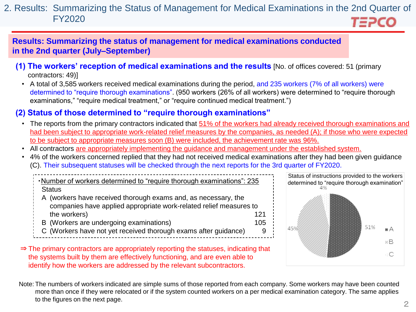#### 2. Results: Summarizing the Status of Management for Medical Examinations in the 2nd Quarter of FY2020 *TEPCO*

**Results: Summarizing the status of management for medical examinations conducted in the 2nd quarter (July–September)**

- **(1) The workers' reception of medical examinations and the results** [No. of offices covered: 51 (primary contractors: 49)]
	- A total of 3,585 workers received medical examinations during the period, and 235 workers (7% of all workers) were determined to "require thorough examinations". (950 workers (26% of all workers) were determined to "require thorough examinations," "require medical treatment," or "require continued medical treatment.")

## **(2) Status of those determined to "require thorough examinations"**

- The reports from the primary contractors indicated that 51% of the workers had already received thorough examinations and had been subject to appropriate work-related relief measures by the companies, as needed (A); if those who were expected to be subject to appropriate measures soon (B) were included, the achievement rate was 96%.
- All contractors are appropriately implementing the guidance and management under the established system.
- 4% of the workers concerned replied that they had not received medical examinations after they had been given guidance (C). Their subsequent statuses will be checked through the next reports for the 3rd quarter of FY2020.

・Number of workers determined to "require thorough examinations": 235 **Status** A (workers have received thorough exams and, as necessary, the

- companies have applied appropriate work-related relief measures to the workers) and the workers of the workers of the workers of the workers of the workers of the theorem of the  $121$
- B (Workers are undergoing examinations) 105
- C (Workers have not yet received thorough exams after guidance) 9
- ⇒ The primary contractors are appropriately reporting the statuses, indicating that the systems built by them are effectively functioning, and are even able to identify how the workers are addressed by the relevant subcontractors.



Note: The numbers of workers indicated are simple sums of those reported from each company. Some workers may have been counted more than once if they were relocated or if the system counted workers on a per medical examination category. The same applies to the figures on the next page.